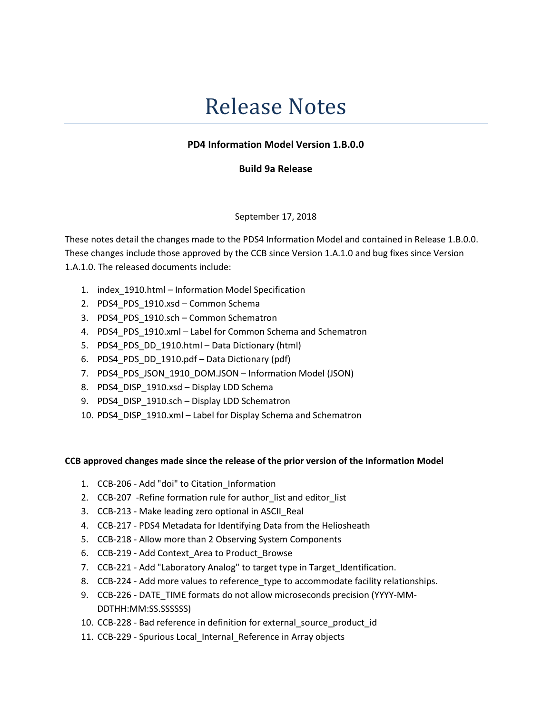# Release Notes

## PD4 Information Model Version 1.B.0.0

### Build 9a Release

### September 17, 2018

These notes detail the changes made to the PDS4 Information Model and contained in Release 1.B.0.0. These changes include those approved by the CCB since Version 1.A.1.0 and bug fixes since Version 1.A.1.0. The released documents include:

- 1. index\_1910.html Information Model Specification
- 2. PDS4 PDS 1910.xsd Common Schema
- 3. PDS4\_PDS\_1910.sch Common Schematron
- 4. PDS4\_PDS\_1910.xml Label for Common Schema and Schematron
- 5. PDS4\_PDS\_DD\_1910.html Data Dictionary (html)
- 6. PDS4\_PDS\_DD\_1910.pdf Data Dictionary (pdf)
- 7. PDS4 PDS JSON 1910 DOM.JSON Information Model (JSON)
- 8. PDS4 DISP 1910.xsd Display LDD Schema
- 9. PDS4\_DISP\_1910.sch Display LDD Schematron
- 10. PDS4\_DISP\_1910.xml Label for Display Schema and Schematron

### CCB approved changes made since the release of the prior version of the Information Model

- 1. CCB-206 Add "doi" to Citation\_Information
- 2. CCB-207 -Refine formation rule for author\_list and editor\_list
- 3. CCB-213 Make leading zero optional in ASCII\_Real
- 4. CCB-217 PDS4 Metadata for Identifying Data from the Heliosheath
- 5. CCB-218 Allow more than 2 Observing System Components
- 6. CCB-219 Add Context\_Area to Product\_Browse
- 7. CCB-221 Add "Laboratory Analog" to target type in Target Identification.
- 8. CCB-224 Add more values to reference type to accommodate facility relationships.
- 9. CCB-226 DATE\_TIME formats do not allow microseconds precision (YYYY-MM-DDTHH:MM:SS.SSSSSS)
- 10. CCB-228 Bad reference in definition for external\_source\_product\_id
- 11. CCB-229 Spurious Local\_Internal\_Reference in Array objects